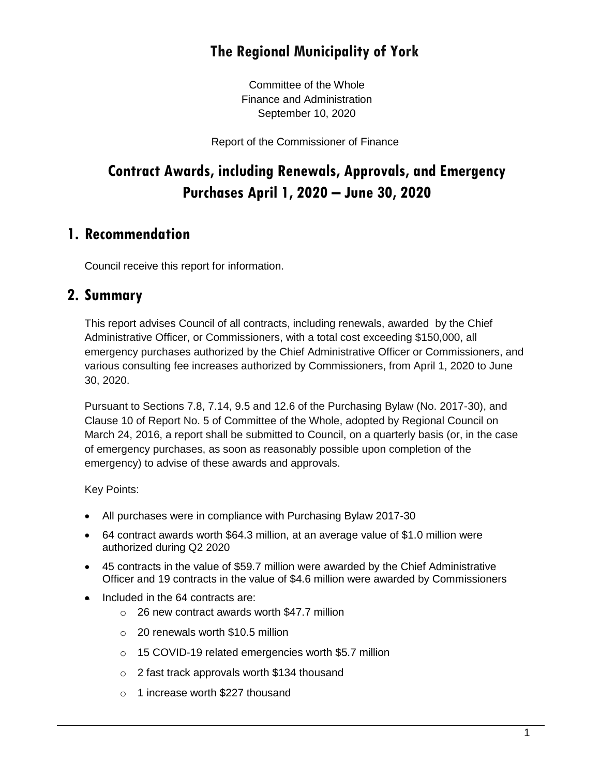# **The Regional Municipality of York**

Committee of the Whole Finance and Administration September 10, 2020

Report of the Commissioner of Finance

# **Contract Awards, including Renewals, Approvals, and Emergency Purchases April 1, 2020 – June 30, 2020**

### **1. Recommendation**

Council receive this report for information.

### **2. Summary**

This report advises Council of all contracts, including renewals, awarded by the Chief Administrative Officer, or Commissioners, with a total cost exceeding \$150,000, all emergency purchases authorized by the Chief Administrative Officer or Commissioners, and various consulting fee increases authorized by Commissioners, from April 1, 2020 to June 30, 2020.

Pursuant to Sections 7.8, 7.14, 9.5 and 12.6 of the Purchasing Bylaw (No. 2017-30), and Clause 10 of Report No. 5 of Committee of the Whole, adopted by Regional Council on March 24, 2016, a report shall be submitted to Council, on a quarterly basis (or, in the case of emergency purchases, as soon as reasonably possible upon completion of the emergency) to advise of these awards and approvals.

Key Points:

- All purchases were in compliance with Purchasing Bylaw 2017-30
- 64 contract awards worth \$64.3 million, at an average value of \$1.0 million were authorized during Q2 2020
- 45 contracts in the value of \$59.7 million were awarded by the Chief Administrative Officer and 19 contracts in the value of \$4.6 million were awarded by Commissioners
- Included in the 64 contracts are:
	- o 26 new contract awards worth \$47.7 million
	- o 20 renewals worth \$10.5 million
	- o 15 COVID-19 related emergencies worth \$5.7 million
	- o 2 fast track approvals worth \$134 thousand
	- o 1 increase worth \$227 thousand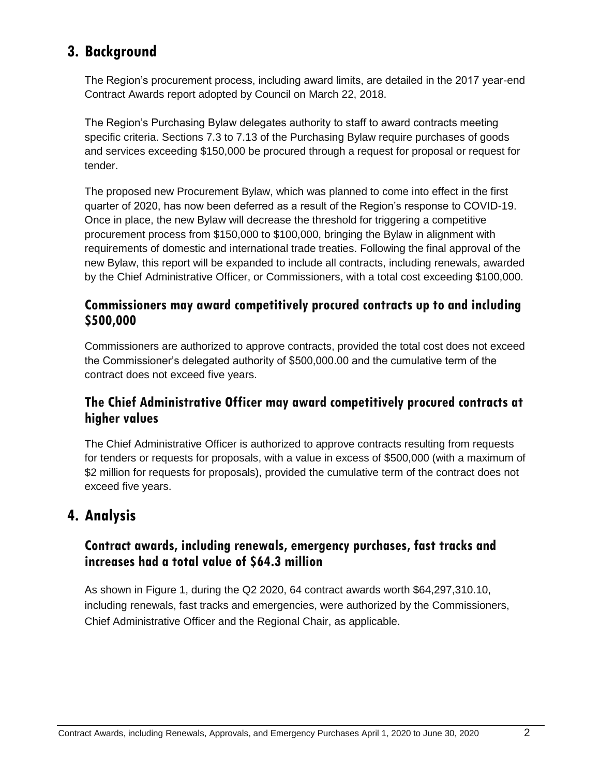# **3. Background**

The Region's procurement process, including award limits, are detailed in the 2017 year-end Contract Awards report adopted by Council on [March 22, 2018.](http://www.york.ca/wps/wcm/connect/yorkpublic/4d37b1ef-255c-4e9c-9379-86fe14d57685/mar+22+contract+ex.pdf?MOD=AJPERES) 

The Region's Purchasing Bylaw delegates authority to staff to award contracts meeting specific criteria. Sections 7.3 to 7.13 of the Purchasing Bylaw require purchases of goods and services exceeding \$150,000 be procured through a request for proposal or request for tender.

The proposed new Procurement Bylaw, which was planned to come into effect in the first quarter of 2020, has now been deferred as a result of the Region's response to COVID-19. Once in place, the new Bylaw will decrease the threshold for triggering a competitive procurement process from \$150,000 to \$100,000, bringing the Bylaw in alignment with requirements of domestic and international trade treaties. Following the final approval of the new Bylaw, this report will be expanded to include all contracts, including renewals, awarded by the Chief Administrative Officer, or Commissioners, with a total cost exceeding \$100,000.

#### **Commissioners may award competitively procured contracts up to and including \$500,000**

Commissioners are authorized to approve contracts, provided the total cost does not exceed the Commissioner's delegated authority of \$500,000.00 and the cumulative term of the contract does not exceed five years.

### **The Chief Administrative Officer may award competitively procured contracts at higher values**

The Chief Administrative Officer is authorized to approve contracts resulting from requests for tenders or requests for proposals, with a value in excess of \$500,000 (with a maximum of \$2 million for requests for proposals), provided the cumulative term of the contract does not exceed five years.

### **4. Analysis**

### **Contract awards, including renewals, emergency purchases, fast tracks and increases had a total value of \$64.3 million**

As shown in Figure 1, during the Q2 2020, 64 contract awards worth \$64,297,310.10, including renewals, fast tracks and emergencies, were authorized by the Commissioners, Chief Administrative Officer and the Regional Chair, as applicable.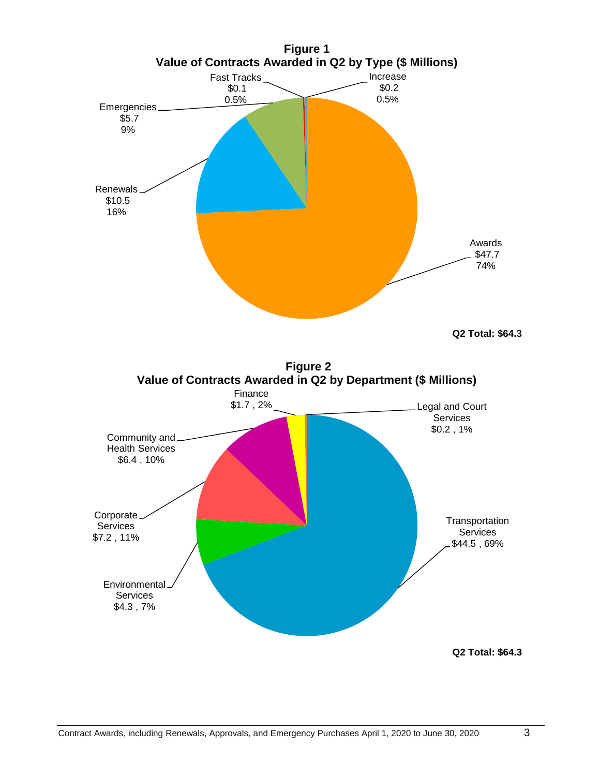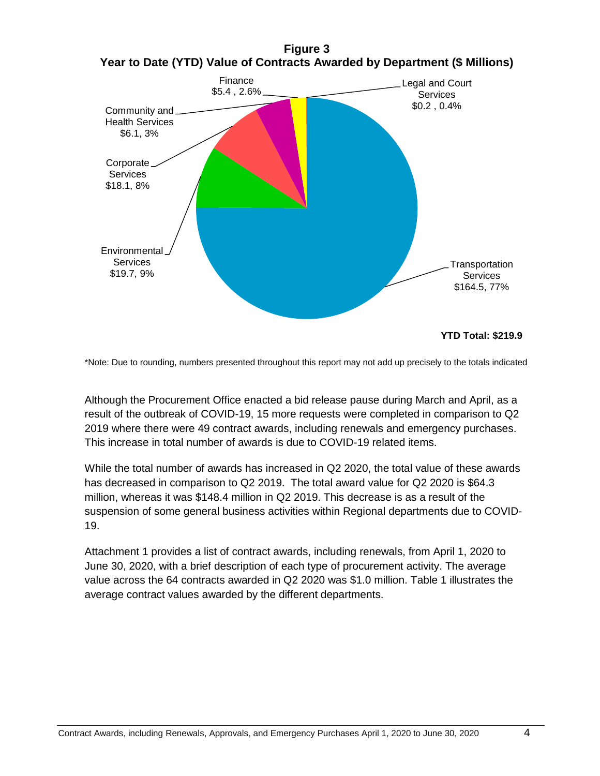



\*Note: Due to rounding, numbers presented throughout this report may not add up precisely to the totals indicated

Although the Procurement Office enacted a bid release pause during March and April, as a result of the outbreak of COVID-19, 15 more requests were completed in comparison to Q2 2019 where there were 49 contract awards, including renewals and emergency purchases. This increase in total number of awards is due to COVID-19 related items.

While the total number of awards has increased in Q2 2020, the total value of these awards has decreased in comparison to Q2 2019. The total award value for Q2 2020 is \$64.3 million, whereas it was \$148.4 million in Q2 2019. This decrease is as a result of the suspension of some general business activities within Regional departments due to COVID-19.

Attachment 1 provides a list of contract awards, including renewals, from April 1, 2020 to June 30, 2020, with a brief description of each type of procurement activity. The average value across the 64 contracts awarded in Q2 2020 was \$1.0 million. Table 1 illustrates the average contract values awarded by the different departments.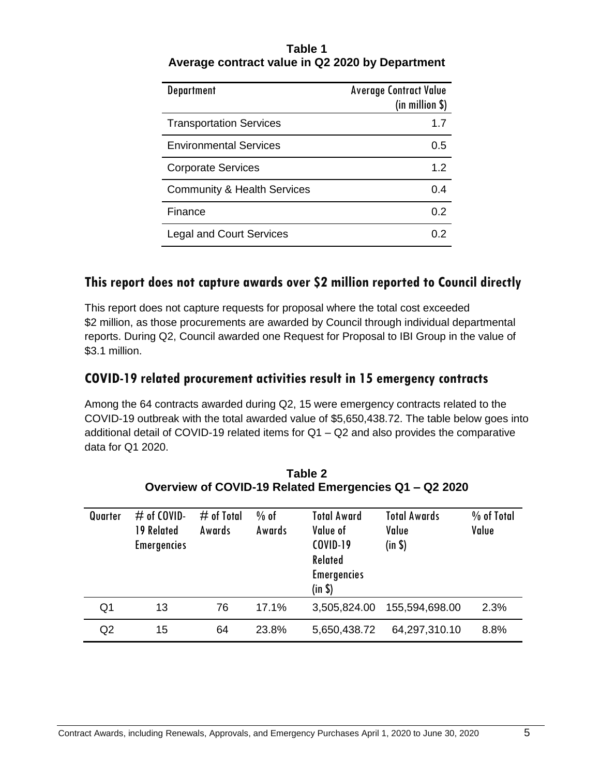| Table 1                                         |
|-------------------------------------------------|
| Average contract value in Q2 2020 by Department |

| <b>Department</b>                      | <b>Average Contract Value</b><br>(in million \$) |
|----------------------------------------|--------------------------------------------------|
| <b>Transportation Services</b>         | 1.7                                              |
| <b>Environmental Services</b>          | 0.5                                              |
| <b>Corporate Services</b>              | 1.2                                              |
| <b>Community &amp; Health Services</b> | 0.4                                              |
| Finance                                | 0.2                                              |
| <b>Legal and Court Services</b>        |                                                  |

#### **This report does not capture awards over \$2 million reported to Council directly**

This report does not capture requests for proposal where the total cost exceeded \$2 million, as those procurements are awarded by Council through individual departmental reports. During Q2, Council awarded one Request for Proposal to IBI Group in the value of \$3.1 million.

### **COVID-19 related procurement activities result in 15 emergency contracts**

Among the 64 contracts awarded during Q2, 15 were emergency contracts related to the COVID-19 outbreak with the total awarded value of \$5,650,438.72. The table below goes into additional detail of COVID-19 related items for Q1 – Q2 and also provides the comparative data for Q1 2020.

| Quarter        | $#$ of COVID-<br>19 Related<br><b>Emergencies</b> | $#$ of Total<br>Awards | $%$ of<br>Awards | <b>Total Award</b><br>Value of<br><b>COVID-19</b><br>Related<br><b>Emergencies</b><br>(in \$) | <b>Total Awards</b><br>Value<br>(in \$) | % of Total<br>Value |
|----------------|---------------------------------------------------|------------------------|------------------|-----------------------------------------------------------------------------------------------|-----------------------------------------|---------------------|
| Q <sub>1</sub> | 13                                                | 76                     | 17.1%            | 3,505,824.00                                                                                  | 155,594,698.00                          | 2.3%                |
| Q2             | 15                                                | 64                     | 23.8%            | 5,650,438.72                                                                                  | 64,297,310.10                           | 8.8%                |

**Table 2 Overview of COVID-19 Related Emergencies Q1 – Q2 2020**